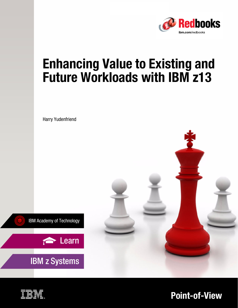

# **Enhancing Value to Existing and Future Workloads with IBM z13**

Harry Yudenfriend





**IBM z Systems** 



**Point-of-View**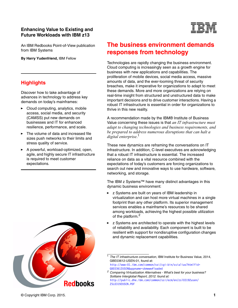#### **Enhancing Value to Existing and Future Workloads with IBM z13**

An IBM Redbooks Point-of-View publication from IBM Systems

**By Harry Yudenfriend,** IBM Fellow

#### **Highlights**

Discover how to take advantage of advances in technology to address key demands on today's mainframes:

- Cloud computing, analytics, mobile access, social media, and security (CAMSS) put new demands on businesses and IT for enhanced resilience, performance, and scale.
- The volume of data and increased file sizes push networks to their limits and stress quality of service.
- A powerful, workload-optimized, open, agile, and highly secure IT infrastructure is required to meet customer expectations.





## **The business environment demands responses from technology**

Technologies are rapidly changing the business environment. Cloud computing is increasingly seen as a growth engine for business with new applications and capabilities. The proliferation of mobile devices, social media access, massive amounts of data, and the ever-looming threat of security breaches, make it imperative for organizations to adapt to meet these demands. More and more organizations are relying on real-time insight from structured and unstructured data to make important decisions and to drive customer interactions. Having a robust IT infrastructure is essential in order for organizations to thrive in this new reality.

A recommendation made by the IBM® Institute of Business Value concerning these issues is that *an IT infrastructure must adapt to changing technologies and business requirements, and be prepared to address numerous disruptions that can halt a digital enterprise*. 1

These new dynamics are reframing the conversations on IT infrastructure. In addition, C-level executives are acknowledging that a robust IT infrastructure is essential. The increased reliance on data as a vital resource combined with the expectations of today's customers are forcing organizations to search out new and innovative ways to use hardware, software, networking, and storage.

The IBM z Systems™ have many distinct advantages in this dynamic business environment:

- z Systems are built on years of IBM leadership in virtualization and can host more virtual machines in a single footprint than any other platform. Its superior management services enables a mainframe's resources to be shared among workloads, achieving the highest possible utilization of the platform.<sup>2</sup>
- **EXC** z Systems are architected to operate with the highest levels of reliability and availability. Each component is built to be resilient with support for nondisruptive configuration changes and dynamic replacement capabilities.

[GBE03612USEN&appname=skmwww#loaded](http://www-01.ibm.com/common/ssi/cgi-bin/ssialias?htmlfid=GBE03612USEN&appname=skmwww#loaded)

<sup>1</sup>*The IT infrastructure conversation*, IBM Institute for Business Value, 2014, GBE03612-USEN-01, found at: [http://www-01.ibm.com/common/ssi/cgi-bin/ssialias?htmlfid=](http://www-01.ibm.com/common/ssi/cgi-bin/ssialias?htmlfid=GBE03612USEN&appname=skmwww#loaded)

*<sup>2</sup> Comparing Virtualization Alternatives - What's best for your business? Solitaire Interglobal Report, 2012. found at:*  [http://public.dhe.ibm.com/common/ssi/ecm/en/zsl03192usen/](http://public.dhe.ibm.com/common/ssi/ecm/en/zsl03192usen/ZSL03192USEN.PDF) ZSL03192USEN.PDF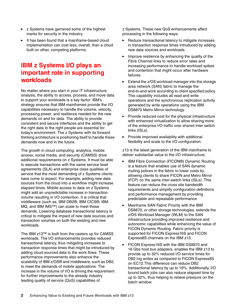- **EXEL** z Systems have garnered some of the highest marks for security in the industry.
- It has been found that a mainframe-based cloud implementation can cost less, overall, than a cloud built on other, competing platforms.

### **IBM z Systems I/O plays an important role in supporting workloads**

No matter where you start in your IT infrastructure analysis, the ability to access, process, and move data to support your workloads is a key factor. IBM's strategy ensures that IBM mainframes provide the I/O capabilities necessary to handle the volume, velocity, processing power, and resilience needed for the new demands on and for data. The ability to provide consistent and secure interfaces and the ability to get the right data to the right people are essential for today's environment. The z Systems with its forward thinking architecture is positioning itself to handle these demands now and in the future.

The growth in cloud computing, analytics, mobile access, social media, and security (CAMSS) drive additional requirements on z Systems. It must be able to execute transactions with the same service level agreements (SLA) and enterprise class qualities of service that the most demanding of z Systems clients have come to expect. For example, adding new data sources from the cloud into a workflow might increase elapsed times. Mobile access to data on z Systems might add an unpredictable increase in transaction volume resulting in I/O contention. It is critical that middleware (such as, IBM DB2®, IBM CICS®, IBM MQ, and IBM IMS™) can scale to meet these demands. Lowering database transactional latency is critical to mitigate the impact of new data sources and transaction volumes on both the existing and new workloads.

The IBM z13™ is built from the casters up for CAMSS workloads. The I/O enhancements provides reduced transactional latency, thus mitigating increases to transaction response times that might be introduced by adding cloud sourced data to the work flows. These performance improvements also enhance the scalability of IBM z/OS® and middleware, such as DB2, to meet the demands of mobile applications. The increase in the volume of I/O is driving the requirement for further improvements to the already industry leading quality of service (QoS) capabilities of

z Systems. These new QoS enhancements affect processing in the following ways:

- $\blacktriangleright$  Reduce transactional latency to mitigate increases in transaction response times introduced by adding new data sources and workloads.
- $\blacktriangleright$  Improve resilience by enhancing the quality of the Fibre Channel links to reduce error rates and increasing performance to handle workload spikes and contention that might occur after hardware failures.
- $\blacktriangleright$  Extend the z/OS workload manager into the storage area network (SAN) fabric to manage the end-to-end work according to client specified policy. This capability includes all read and write operations and the synchronous replication activity generated by write operations using the IBM DS8870 Metro Mirror technology.
- Provide reduced cost for the physical infrastructure with enhanced virtualization to allow sharing more of the enterprise I/O traffic over shared inter switch links (ISLs).
- $\blacktriangleright$  Provide improved availability with additional flexibility and scale to the I/O configuration.

z13 is the latest generation of the IBM mainframe to deliver substantial value to the I/O infrastructure:

- ► IBM Fibre Connection (FICON®) Dynamic Routing is a feature that enables use of SAN dynamic routing polices in the fabric to lower costs by allowing clients to share FICON and Metro Mirror (FCP) on the same inter-switch links (ISLs). This feature can reduce the cross site bandwidth requirements and simplify configuration definitions and performance management by providing predictable and repeatable performance.
- - Mainframe SAN Fabric Priority with the IBM DS8870, or other storage technologies, extends the z/OS Workload Manager (WLM) to the SAN infrastructure providing improved resilience and autonomic capabilities while enhancing the value of FICON Dynamic Routing. Fabric priority is supported for FICON Express16S and FICON Express8S channels on the IBM z13.
- $\blacktriangleright$  FICON Express16S with the IBM DS8870 and 16 Gbs host bus adapters, enables the IBM z13 to provide up to 32% reduced I/O service times for DB2 log writes as compared to FICON Express8S on EC12.This difference can reduce DB2 transactional latency by up to 19%. Additionally, I/O bound batch jobs can also reduce elapsed time by up to 32%, thus helping to relieve pressure on the batch window.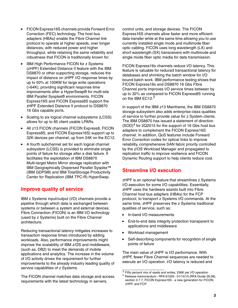- - FICON Express16S channels provide Forward Error Correction (FEC) technology. The host bus adapters (HBAs) enable the Fibre Channel link protocol to operate at higher speeds, over longer distances, with reduced power and higher throughput, while retaining the same reliability and robustness that FICON is traditionally known for.
- IBM High Performance FICON for z Systems (zHPF) Extended Distance II feature with the IBM DS8870 or other supporting storage, reduces the impact of distance on zHPF I/O response times by up to 50% at 100KM for large write operations (>64K), providing significant response time improvements after a HyperSwap® for multi-site IBM Parallel Sysplex® environments. FICON Express16S and FICON Express8S support the zHPF Extended Distance II protocol to DS8870 16 Gbs capable ports.
- ► Scaling to six logical channel subsystems (LCSS) allows for up to 85 client usable LPARs.
- All z13 FICON channels (FICON Express8, FICON Express8S, and FICON Express16S) support up to 32K devices per channel, up from 24K on the EC12.
- A fourth subchannel set for each logical channel subsystem (LCSS) is provided to eliminate single points of failure for storage after a disk failure. It facilitates the exploitation of IBM DS8870 Multi-target Metro Mirror storage replication with IBM Geographically Dispersed Parallel Sysplex™ (IBM GDPS®) and IBM TotalStorage Productivity Center for Replication (IBM TPC-R) HyperSwap.

#### **Improve quality of service**

IBM z Systems input/output (I/O) channels provide a pipeline through which data is exchanged between systems or between a system and external devices. Fibre Connection (FICON) is an IBM I/O technology (used by z Systems) built on the Fibre Channel architecture.

Reducing transactional latency mitigates increases to transaction response times introduced by adding workloads. Also, performance improvements might improve the scalability of IBM z/OS and middleware, (such as, DB2) to meet the demands of mobile applications and analytics. The increase in the volume of I/O activity drives the requirement for further improvements to the already industry leading quality of service capabilities of z Systems.

The FICON channel matches data storage and access requirements with the latest technology in servers,

control units, and storage devices. The FICON Express16S channels allow faster and more efficient data transfer while at the same time allowing you to use currently installed single mode and multimode fiber optic cabling. FICON uses long wavelength (LX) and short wavelength (SX) transceivers with multimode and single mode fiber optic media for data transmission.

FICON Express16s channels reduce I/O latency. This feature is valuable for reduced transactional latency for databases and shrinking the batch window for I/O bound batch work. IBM performance testing shows that FICON Express16s and DS8870 16 Gbs Fibre Channel ports improves I/O service times between by up to 32% as compared to FICON Express8S running on the IBM EC12.<sup>3</sup>

In support of the IBM z13 Mainframe, the IBM DS8870 storage subsystem also adds enterprise class qualities of service to further provide value for z System clients. The IBM DS8870 has issued a statement of direction  $(SOD)^4$  for 2Q2015 for the support of 16 Gbs host bus adapters to complement the FICON Express16S channel. In addition, QoS features include Forward Error Correction codes for optical links to improve reliability, comprehensive SAN fabric priority controlled by the z/OS Workload Manager and propagated to replication traffic to improve resilience and FICON Dynamic Routing support to help clients reduce cost.

#### **Streamline I/O execution**

zHPF is an optional feature that streamlines z Systems I/O execution for some I/O capabilities. Essentially, zHPF uses the hardware assists built into Fibre Channel host bus adapters (HBAs) for the FCP protocol, to transport z Systems I/O commands. At the same time, zHPF preserves the z Systems traditional qualities of service, such as:

- -In-band I/O measurements
- $\blacktriangleright$  End-to-end data integrity protection transparent to applications and middleware
- Workload management
- - Self-describing components for recognition of single points of failure

The main value of zHPF is I/O performance. With zHPF, fewer Fibre Channel sequences are needed to execute an I/O operation. I/O latency is reduced and

<sup>3</sup> Fifty percent mix of reads and writes, 256K per I/O operation

<sup>4</sup> Release memorandum - RFA 61029 - 01/14/15 (RFA Guide 29.08), section 2.7.7, FICON Express16S - a new generation for FICON, zHPF, and FCP.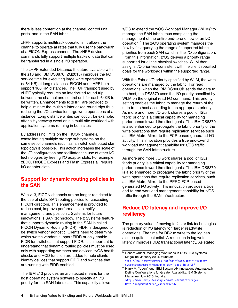there is less contention at the channel, control unit ports, and in the SAN fabric.

zHPF supports multitrack operations. It allows the channel to operate at rates that fully use the bandwidth of a FICON Express channel. The zHPF device commands fully support multiple tracks of data that can be transferred in a single I/O operation.

The zHPF Extended Distance II feature available with the z13 and IBM DS8870 (2Q2015) improves the I/O service time for executing large write operations (> 64 KB) at long distances. FICON and zHPF both support 100 KM distances. The FCP transport used by zHPF typically requires an interlocked round trip between the channel and control unit for each 64KB to be written. Enhancements to zHPF are provided to help eliminate the multiple interlocked round trips thus reducing the I/O service for large write operations at a distance. Long distance writes can occur, for example, after a Hyperswap event or in a multi-site workload with application systems running in both sites

By addressing limits on the FICON channels, consolidating multiple storage subsystems on the same set of channels (such as, a switch distributed star topology) is possible. This action increases the scale of the I/O configuration and facilitates the use of other I/O technologies by freeing I/O adapter slots. For example, zEDC, RoCEE Express and Flash Express all require I/O adapter slots.

#### **Support for dynamic routing policies in the SAN**

With z13, FICON channels are no longer restricted to the use of static SAN routing policies for cascading FICON directors. This enhancement is provided to reduce cost, improve performance, simplify management, and position z Systems for future innovations is SAN technology. The z Systems feature that supports dynamic routing in the SAN is called FICON Dynamic Routing (FIDR). FIDR is designed to be switch vendor agnostic. Clients need to determine which switch vendors support FIDR or only enable FIDR for switches that support FIDR. It is important to understand that dynamic routing policies must be used only with supporting switches and devices. z/OS health checks and HCD function are added to help clients identify devices that support FIDR and switches that are running with FIDR enabled.

The IBM z13 provides an architected means for the host operating system software to specify an I/O priority for the SAN fabric use. This capability allows  $z$ /OS to extend the  $z$ /OS Workload Manager (WLM) $<sup>5</sup>$  to</sup> manage the SAN fabric, thus completing the management of the entire end-to-end flow of an I/O operation.6 The z/OS operating system manages the flow by first querying the range of supported fabric priorities from each SAN switch in the I/O configuration. From this information, z/OS derives a priority range supported for all the physical switches. WLM then assigns I/O priorities consistent with the client specified goals for the workloads within the supported range.

With the Fabric I/O priority specified by WLM, the write operations are managed by the fabric. For read operations, when the IBM DS8000® sends the data to the host, the DS8870 uses the I/O priority specified by WLM on the original read I/O command. This priority setting enables the fabric to manage the return of the data to the host according to the appropriate priority. As more and more I/O work shares a pool of ISLs, fabric priority is a critical capability for managing performance toward the client goals. The IBM DS8870 is also enhanced to propagate the fabric priority of the write operations that require replication services such as, IBM Metro Mirror to the FCP-based generated I/O activity. This innovation provides a true end-to-end workload management capability for z/OS traffic through the SAN infrastructure.

As more and more I/O work shares a pool of ISLs, fabric priority is a critical capability for managing performance toward the client goals. The IBM DS8870 is also enhanced to propagate the fabric priority of the write operations that require replication services, such as, IBM Metro Mirror to the PPRC FCP-based generated I/O activity. This innovation provides a true end-to-end workload management capability for z/OS traffic through the SAN infrastructure.

#### **Reduce I/O latency and improve I/O resiliency**

The primary value of moving to faster link technologies is reduction of I/O latency for "large" read/write operations. The time for DB2 to write to the log can also be quite substantial. A reduction in log write latency improves DB2 transactional latency. As stated

<sup>5</sup> Robert Vaupel, Managing Workloads in z/OS, IBM Systems Magazine, January 2004, found at: [http://www.ibmsystemsmag.com/mainframe/administrator/](http://www.ibmsystemsmag.com/mainframe/administrator/systemsmanagement/Managing-Workloads-in-z-OS/) systemsmanagement/Managing-Workloads-in-z-OS/

<sup>6</sup> Harry M. Yudenfriend, IBM System z® Innovations Automatically Define Configurations for Greater Availability, IBM Systems Magazine, July 2013, found at: [http://www.ibmsystemsmag.com/mainframe/storage/](http://www.ibmsystemsmag.com/mainframe/storage/Data-Management/zdac_yudenfriend/) Data-Management/zdac\_yudenfriend/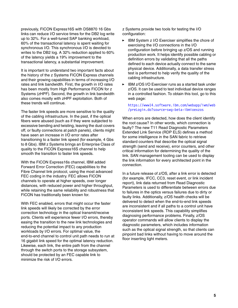previously, FICON Express16S with DS8870 16 Gbs links can reduce I/O service times for the DB2 log write up to 32%. For a well-tuned SAP banking workload, 60% of the transactional latency is spent waiting for synchronous I/O. This synchronous I/O is devoted to writes to the DB2 log. A 32% reduction applied to 60% of the latency yields a 19% improvement to the transactional latency, a substantial improvement.

It is important to understand two important facts about the history of the z Systems FICON Express channels and their growing capabilities in terms of increasing I/O rates and link bandwidth. First, the growth in I/O rates has been mostly from High Performance FICON for z Systems (zHPF). Second, the growth in link bandwidth also comes mostly with zHPF exploitation. Both of these trends will continue.

The faster link speeds are more sensitive to the quality of the cabling infrastructure. In the past, if the optical fibers were abused (such as if they were subjected to excessive bending and twisting, leaving the dust covers off, or faulty connections at patch panels), clients might have seen an increase in I/O error rates after transitioning to a faster link speed (for example, 4 Gbs to 8 Gbs). IBM z Systems brings an Enterprise Class of quality to the FICON Express16S channel to help smooth the transition to faster link speeds.

With the FICON Express16s channel, IBM added Forward Error Correction (FEC) capabilities to the Fibre Channel link protocol, using the most advanced FEC coding in the industry. FEC allows FICON channels to operate at higher speeds, over longer distances, with reduced power and higher throughput, while retaining the same reliability and robustness that FICON has traditionally been known for.

With FEC enabled, errors that might occur the faster link speeds will likely be corrected by the error correction technology in the optical transmit/receive ports. Clients will experience fewer I/O errors, thereby easing the transition to the new link technologies and reducing the potential impact to any production workloads by I/O errors. For optimal value, the end-to-end channel to control unit path needs to run at 16 gigabit link speed for the optimal latency reduction. Likewise, each link, the entire path from the channel through the switch ports to the storage subsystem, should be protected by an FEC capable link to minimize the risk of I/O errors.

z Systems provide two tools for testing the I/O configuration:

- ► IBM System z I/O Exerciser simplifies the chore of exercising the I/O connections in the I/O configuration before bringing up z/OS and running production work. It helps identify possible cabling or definition errors by validating that all the paths defined to each device actually connect to the same physical device. Additionally, a data transfer stress test is performed to help verify the quality of the cabling infrastructure.
- IBM z/OS I/O Exerciser runs as a started task under z/OS. It can be used to test individual device ranges in a controlled fashion. To obtain this tool, go to this web page:

#### [https://www14.software.ibm.com/webapp/iwm/web](https://www14.software.ibm.com/webapp/iwm/web/preLogin.do?source=swg-beta-ibmioexzos) /preLogin.do?source=swg-beta-ibmioexzos

When errors are detected, how does the client identify the root cause? In other words, which connection is faulty? The new T11 Read Diagnostic Parameters Extended Link Service (RDP ELS) defines a method for some intelligence in the SAN fabric to retrieve standard counters that describe the optical signal strength (send and receive), error counters, and other critical information for determining the quality of the link. SAN management tooling can be used to display the link information for every architected point in the connection.

In a future release of z/OS, after a link error is detected (for example, IFCC, CC3, reset event, or link incident report), link data returned from Read Diagnostic Parameters is used to differentiate between errors due to failures in the optics versus failures due to dirty or faulty links. Additionally, z/OS health checks will be delivered to detect when the end-to-end link speeds are inconsistent and if all paths to a control unit have inconsistent link speeds. This capability simplifies diagnosing performance problems. Finally, z/OS operator commands will allow clients to display the diagnostic parameters, which includes information such as the optical signal strength, so that clients can pinpoint bad links without having to move around the floor inserting light meters.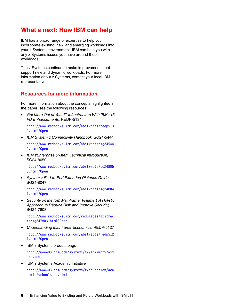#### **What's next: How IBM can help**

IBM has a broad range of expertise to help you incorporate existing, new, and emerging workloads into your z Systems environment. IBM can help you with any z Systems issues you have around these workloads.

The z Systems continue to make improvements that support new and dynamic workloads. For more information about z Systems, contact your local IBM representative.

#### **Resources for more information**

For more information about the concepts highlighted in the paper, see the following resources:

- *Get More Out of Your IT Infrastructure With IBM z13 I/O Enhancements,* REDP-5134

[http://www.redbooks.ibm.com/abstracts/redp513](http://www.redbooks.ibm.com/abstracts/redp5134.html?Open) 4.html?Open

- *IBM System z Connectivity Handbook*, SG24-5444 [http://www.redbooks.ibm.com/abstracts/sg24544](http://www.redbooks.ibm.com/abstracts/sg245444.html?Open) 4.html?Open
- *IBM zEnterprise System Technical Introduction*, SG24-8050

[http://www.redbooks.ibm.com/abstracts/sg24805](http://www.redbooks.ibm.com/abstracts/sg248050.html?Open) 0.html?Open

- *System z End-to-End Extended Distance Guide*, SG24-8047

http://www.redbooks.ibm.com/abstracts/sg24804 7.html?Open

- *Security on the IBM Mainframe: Volume 1 A Holistic Approach to Reduce Risk and Improve Security*, SG24-7803

[http://www.redbooks.ibm.com/redpieces/abstrac](http://www.redbooks.ibm.com/redpieces/abstracts/sg247803.html?Open) ts/sg247803.html?Open

- *Understanding Mainframe Economics*, REDP-5127

[http://www.redbooks.ibm.com/abstracts/redp512](http://www.redbooks.ibm.com/abstracts/redp5127.html?Open) 7.html?Open

- IBM z Systems product page

[http://www-03.ibm.com/systems/z/?lnk=mprSY-sy](http://www-03.ibm.com/systems/z/?lnk=mprSY-sysz-usen) sz-usen

- IBM z Systems Academic Initiative

[http://www-03.ibm.com/systems/z/education/aca](http://www-03.ibm.com/systems/z/education/academic/schools_ap.html) [demic/schools\\_ap.html](http://www-03.ibm.com/systems/z/education/academic/schools_ap.html)